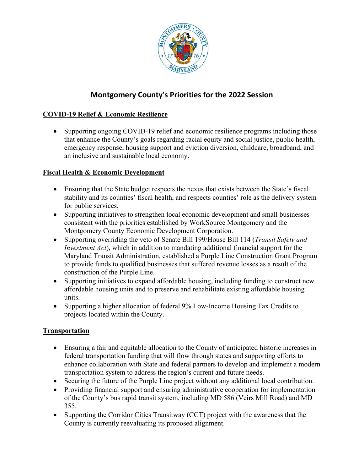

## **Montgomery County's Priorities for the 2022 Session**

## **COVID-19 Relief & Economic Resilience**

• Supporting ongoing COVID-19 relief and economic resilience programs including those that enhance the County's goals regarding racial equity and social justice, public health, emergency response, housing support and eviction diversion, childcare, broadband, and an inclusive and sustainable local economy.

## **Fiscal Health & Economic Development**

- Ensuring that the State budget respects the nexus that exists between the State's fiscal stability and its counties' fiscal health, and respects counties' role as the delivery system for public services.
- Supporting initiatives to strengthen local economic development and small businesses consistent with the priorities established by WorkSource Montgomery and the Montgomery County Economic Development Corporation.
- Supporting overriding the veto of Senate Bill 199/House Bill 114 (*Transit Safety and Investment Act*), which in addition to mandating additional financial support for the Maryland Transit Administration, established a Purple Line Construction Grant Program to provide funds to qualified businesses that suffered revenue losses as a result of the construction of the Purple Line.
- Supporting initiatives to expand affordable housing, including funding to construct new affordable housing units and to preserve and rehabilitate existing affordable housing units.
- Supporting a higher allocation of federal 9% Low-Income Housing Tax Credits to projects located within the County.

## **Transportation**

- Ensuring a fair and equitable allocation to the County of anticipated historic increases in federal transportation funding that will flow through states and supporting efforts to enhance collaboration with State and federal partners to develop and implement a modern transportation system to address the region's current and future needs.
- Securing the future of the Purple Line project without any additional local contribution.
- Providing financial support and ensuring administrative cooperation for implementation of the County's bus rapid transit system, including MD 586 (Veirs Mill Road) and MD 355.
- Supporting the Corridor Cities Transitway (CCT) project with the awareness that the County is currently reevaluating its proposed alignment.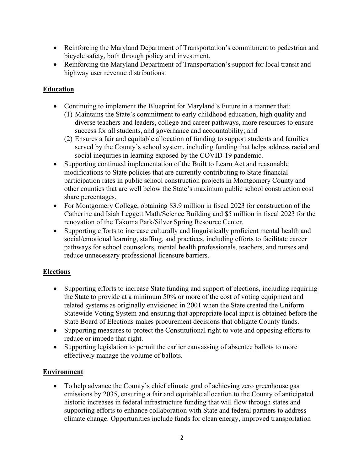- Reinforcing the Maryland Department of Transportation's commitment to pedestrian and bicycle safety, both through policy and investment.
- Reinforcing the Maryland Department of Transportation's support for local transit and highway user revenue distributions.

## **Education**

- Continuing to implement the Blueprint for Maryland's Future in a manner that:
	- (1) Maintains the State's commitment to early childhood education, high quality and diverse teachers and leaders, college and career pathways, more resources to ensure success for all students, and governance and accountability; and
	- (2) Ensures a fair and equitable allocation of funding to support students and families served by the County's school system, including funding that helps address racial and social inequities in learning exposed by the COVID-19 pandemic.
- Supporting continued implementation of the Built to Learn Act and reasonable modifications to State policies that are currently contributing to State financial participation rates in public school construction projects in Montgomery County and other counties that are well below the State's maximum public school construction cost share percentages.
- For Montgomery College, obtaining \$3.9 million in fiscal 2023 for construction of the Catherine and Isiah Leggett Math/Science Building and \$5 million in fiscal 2023 for the renovation of the Takoma Park/Silver Spring Resource Center.
- Supporting efforts to increase culturally and linguistically proficient mental health and social/emotional learning, staffing, and practices, including efforts to facilitate career pathways for school counselors, mental health professionals, teachers, and nurses and reduce unnecessary professional licensure barriers.

#### **Elections**

- Supporting efforts to increase State funding and support of elections, including requiring the State to provide at a minimum 50% or more of the cost of voting equipment and related systems as originally envisioned in 2001 when the State created the Uniform Statewide Voting System and ensuring that appropriate local input is obtained before the State Board of Elections makes procurement decisions that obligate County funds.
- Supporting measures to protect the Constitutional right to vote and opposing efforts to reduce or impede that right.
- Supporting legislation to permit the earlier canvassing of absentee ballots to more effectively manage the volume of ballots.

#### **Environment**

• To help advance the County's chief climate goal of achieving zero greenhouse gas emissions by 2035, ensuring a fair and equitable allocation to the County of anticipated historic increases in federal infrastructure funding that will flow through states and supporting efforts to enhance collaboration with State and federal partners to address climate change. Opportunities include funds for clean energy, improved transportation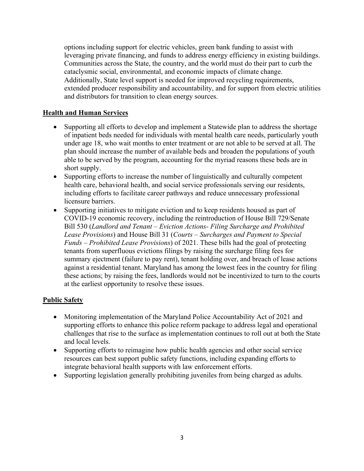options including support for electric vehicles, green bank funding to assist with leveraging private financing, and funds to address energy efficiency in existing buildings. Communities across the State, the country, and the world must do their part to curb the cataclysmic social, environmental, and economic impacts of climate change. Additionally, State level support is needed for improved recycling requirements, extended producer responsibility and accountability, and for support from electric utilities and distributors for transition to clean energy sources.

#### **Health and Human Services**

- Supporting all efforts to develop and implement a Statewide plan to address the shortage of inpatient beds needed for individuals with mental health care needs, particularly youth under age 18, who wait months to enter treatment or are not able to be served at all. The plan should increase the number of available beds and broaden the populations of youth able to be served by the program, accounting for the myriad reasons these beds are in short supply.
- Supporting efforts to increase the number of linguistically and culturally competent health care, behavioral health, and social service professionals serving our residents, including efforts to facilitate career pathways and reduce unnecessary professional licensure barriers.
- Supporting initiatives to mitigate eviction and to keep residents housed as part of COVID-19 economic recovery, including the reintroduction of House Bill 729/Senate Bill 530 (*Landlord and Tenant – Eviction Actions- Filing Surcharge and Prohibited Lease Provisions*) and House Bill 31 (*Courts – Surcharges and Payment to Special Funds – Prohibited Lease Provisions*) of 2021. These bills had the goal of protecting tenants from superfluous evictions filings by raising the surcharge filing fees for summary ejectment (failure to pay rent), tenant holding over, and breach of lease actions against a residential tenant. Maryland has among the lowest fees in the country for filing these actions; by raising the fees, landlords would not be incentivized to turn to the courts at the earliest opportunity to resolve these issues.

#### **Public Safety**

- Monitoring implementation of the Maryland Police Accountability Act of 2021 and supporting efforts to enhance this police reform package to address legal and operational challenges that rise to the surface as implementation continues to roll out at both the State and local levels.
- Supporting efforts to reimagine how public health agencies and other social service resources can best support public safety functions, including expanding efforts to integrate behavioral health supports with law enforcement efforts.
- Supporting legislation generally prohibiting juveniles from being charged as adults.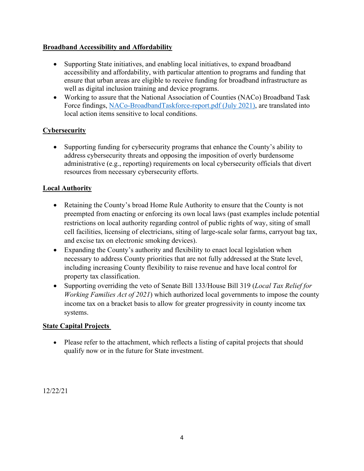### **Broadband Accessibility and Affordability**

- Supporting State initiatives, and enabling local initiatives, to expand broadband accessibility and affordability, with particular attention to programs and funding that ensure that urban areas are eligible to receive funding for broadband infrastructure as well as digital inclusion training and device programs.
- Working to assure that the National Association of Counties (NACo) Broadband Task Force findings, [NACo-BroadbandTaskforce-report.pdf \(July 2021\),](https://www.naco.org/sites/default/files/documents/NACo-Broadband-Taskforce-report.pdf) are translated into local action items sensitive to local conditions.

## **Cybersecurity**

• Supporting funding for cybersecurity programs that enhance the County's ability to address cybersecurity threats and opposing the imposition of overly burdensome administrative (e.g., reporting) requirements on local cybersecurity officials that divert resources from necessary cybersecurity efforts.

## **Local Authority**

- Retaining the County's broad Home Rule Authority to ensure that the County is not preempted from enacting or enforcing its own local laws (past examples include potential restrictions on local authority regarding control of public rights of way, siting of small cell facilities, licensing of electricians, siting of large-scale solar farms, carryout bag tax, and excise tax on electronic smoking devices).
- Expanding the County's authority and flexibility to enact local legislation when necessary to address County priorities that are not fully addressed at the State level, including increasing County flexibility to raise revenue and have local control for property tax classification.
- Supporting overriding the veto of Senate Bill 133/House Bill 319 (*Local Tax Relief for Working Families Act of 2021*) which authorized local governments to impose the county income tax on a bracket basis to allow for greater progressivity in county income tax systems.

#### **State Capital Projects**

• Please refer to the attachment, which reflects a listing of capital projects that should qualify now or in the future for State investment.

12/22/21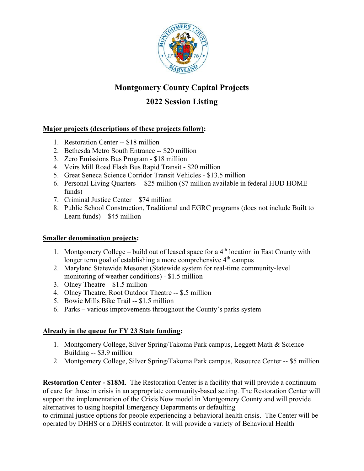

# **Montgomery County Capital Projects**

## **2022 Session Listing**

## **Major projects (descriptions of these projects follow):**

- 1. Restoration Center -- \$18 million
- 2. Bethesda Metro South Entrance -- \$20 million
- 3. Zero Emissions Bus Program \$18 million
- 4. Veirs Mill Road Flash Bus Rapid Transit \$20 million
- 5. Great Seneca Science Corridor Transit Vehicles \$13.5 million
- 6. Personal Living Quarters -- \$25 million (\$7 million available in federal HUD HOME funds)
- 7. Criminal Justice Center \$74 million
- 8. Public School Construction, Traditional and EGRC programs (does not include Built to Learn funds) – \$45 million

#### **Smaller denomination projects:**

- 1. Montgomery College build out of leased space for a  $4<sup>th</sup>$  location in East County with longer term goal of establishing a more comprehensive 4<sup>th</sup> campus
- 2. Maryland Statewide Mesonet (Statewide system for real-time community-level monitoring of weather conditions) - \$1.5 million
- 3. Olney Theatre \$1.5 million
- 4. Olney Theatre, Root Outdoor Theatre -- \$.5 million
- 5. Bowie Mills Bike Trail -- \$1.5 million
- 6. Parks various improvements throughout the County's parks system

## **Already in the queue for FY 23 State funding:**

- 1. Montgomery College, Silver Spring/Takoma Park campus, Leggett Math & Science Building -- \$3.9 million
- 2. Montgomery College, Silver Spring/Takoma Park campus, Resource Center -- \$5 million

**Restoration Center - \$18M**. The Restoration Center is a facility that will provide a continuum of care for those in crisis in an appropriate community-based setting. The Restoration Center will support the implementation of the Crisis Now model in Montgomery County and will provide alternatives to using hospital Emergency Departments or defaulting

to criminal justice options for people experiencing a behavioral health crisis. The Center will be operated by DHHS or a DHHS contractor. It will provide a variety of Behavioral Health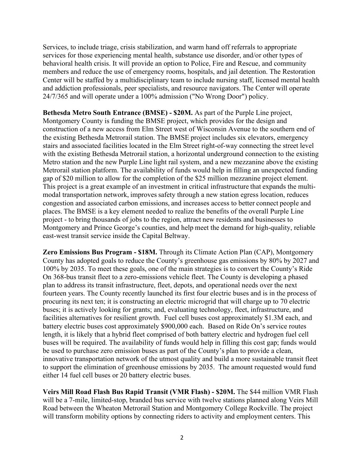Services, to include triage, crisis stabilization, and warm hand off referrals to appropriate services for those experiencing mental health, substance use disorder, and/or other types of behavioral health crisis. It will provide an option to Police, Fire and Rescue, and community members and reduce the use of emergency rooms, hospitals, and jail detention. The Restoration Center will be staffed by a multidisciplinary team to include nursing staff, licensed mental health and addiction professionals, peer specialists, and resource navigators. The Center will operate 24/7/365 and will operate under a 100% admission ("No Wrong Door") policy.

**Bethesda Metro South Entrance (BMSE) - \$20M.** As part of the Purple Line project, Montgomery County is funding the BMSE project, which provides for the design and construction of a new access from Elm Street west of Wisconsin Avenue to the southern end of the existing Bethesda Metrorail station. The BMSE project includes six elevators, emergency stairs and associated facilities located in the Elm Street right-of-way connecting the street level with the existing Bethesda Metrorail station, a horizontal underground connection to the existing Metro station and the new Purple Line light rail system, and a new mezzanine above the existing Metrorail station platform. The availability of funds would help in filling an unexpected funding gap of \$20 million to allow for the completion of the \$25 million mezzanine project element. This project is a great example of an investment in critical infrastructure that expands the multimodal transportation network, improves safety through a new station egress location, reduces congestion and associated carbon emissions, and increases access to better connect people and places. The BMSE is a key element needed to realize the benefits of the overall Purple Line project - to bring thousands of jobs to the region, attract new residents and businesses to Montgomery and Prince George's counties, and help meet the demand for high-quality, reliable east-west transit service inside the Capital Beltway.

**Zero Emissions Bus Program - \$18M.** Through its Climate Action Plan (CAP), Montgomery County has adopted goals to reduce the County's greenhouse gas emissions by 80% by 2027 and 100% by 2035. To meet these goals, one of the main strategies is to convert the County's Ride On 368-bus transit fleet to a zero-emissions vehicle fleet. The County is developing a phased plan to address its transit infrastructure, fleet, depots, and operational needs over the next fourteen years. The County recently launched its first four electric buses and is in the process of procuring its next ten; it is constructing an electric microgrid that will charge up to 70 electric buses; it is actively looking for grants; and, evaluating technology, fleet, infrastructure, and facilities alternatives for resilient growth. Fuel cell buses cost approximately \$1.3M each, and battery electric buses cost approximately \$900,000 each. Based on Ride On's service routes length, it is likely that a hybrid fleet comprised of both battery electric and hydrogen fuel cell buses will be required. The availability of funds would help in filling this cost gap; funds would be used to purchase zero emission buses as part of the County's plan to provide a clean, innovative transportation network of the utmost quality and build a more sustainable transit fleet to support the elimination of greenhouse emissions by 2035. The amount requested would fund either 14 fuel cell buses or 20 battery electric buses.

**Veirs Mill Road Flash Bus Rapid Transit (VMR Flash) - \$20M.** The \$44 million VMR Flash will be a 7-mile, limited-stop, branded bus service with twelve stations planned along Veirs Mill Road between the Wheaton Metrorail Station and Montgomery College Rockville. The project will transform mobility options by connecting riders to activity and employment centers. This